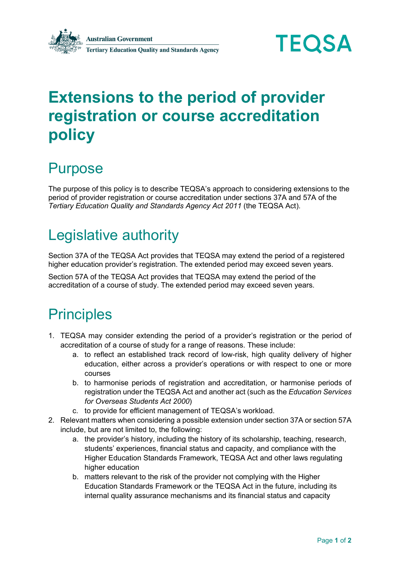



# **Extensions to the period of provider registration or course accreditation policy**

#### Purpose

The purpose of this policy is to describe TEQSA's approach to considering extensions to the period of provider registration or course accreditation under sections 37A and 57A of the *Tertiary Education Quality and Standards Agency Act 2011* (the TEQSA Act).

## Legislative authority

Section 37A of the TEQSA Act provides that TEQSA may extend the period of a registered higher education provider's registration. The extended period may exceed seven years.

Section 57A of the TEQSA Act provides that TEQSA may extend the period of the accreditation of a course of study. The extended period may exceed seven years.

#### **Principles**

- 1. TEQSA may consider extending the period of a provider's registration or the period of accreditation of a course of study for a range of reasons. These include:
	- a. to reflect an established track record of low-risk, high quality delivery of higher education, either across a provider's operations or with respect to one or more courses
	- b. to harmonise periods of registration and accreditation, or harmonise periods of registration under the TEQSA Act and another act (such as the *Education Services for Overseas Students Act 2000*)
	- c. to provide for efficient management of TEQSA's workload.
- 2. Relevant matters when considering a possible extension under section 37A or section 57A include, but are not limited to, the following:
	- a. the provider's history, including the history of its scholarship, teaching, research, students' experiences, financial status and capacity, and compliance with the Higher Education Standards Framework, TEQSA Act and other laws regulating higher education
	- b. matters relevant to the risk of the provider not complying with the Higher Education Standards Framework or the TEQSA Act in the future, including its internal quality assurance mechanisms and its financial status and capacity